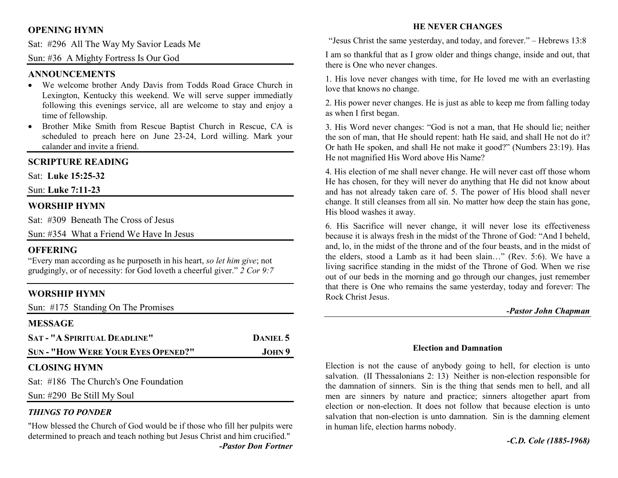### **OPENING HYMN**

Sat: #296 All The Way My Savior Leads Me

Sun: #36 A Mighty Fortress Is Our God

#### **ANNOUNCEMENTS**

- We welcome brother Andy Davis from Todds Road Grace Church in Lexington, Kentucky this weekend. We will serve supper immediatly following this evenings service, all are welcome to stay and enjoy a time of fellowship.
- Brother Mike Smith from Rescue Baptist Church in Rescue, CA is •scheduled to preach here on June 23-24, Lord willing. Mark your calander and invite a friend.

#### **SCRIPTURE READING**

Sat: **Luke 15:25-32**

Sun: **Luke 7:11-23**

#### **WORSHIP HYMN**

Sat: #309 Beneath The Cross of Jesus

Sun: #354 What a Friend We Have In Jesus

#### **OFFERING**

 "Every man according as he purposeth in his heart, *so let him give*; not grudgingly, or of necessity: for God loveth a cheerful giver." *2 Cor 9:7*

### **WORSHIP HYMN**

|                |  | Sun: #175 Standing On The Promises |  |  |
|----------------|--|------------------------------------|--|--|
| <b>MESSAGE</b> |  |                                    |  |  |

| <b>SAT - "A SPIRITUAL DEADLINE"</b>       | DANIEL 5 |  |  |
|-------------------------------------------|----------|--|--|
| <b>SUN - "HOW WERE YOUR EYES OPENED?"</b> | JOHN 9   |  |  |
| <b>CLOSING HYMN</b>                       |          |  |  |
| Sat: #186 The Church's One Foundation     |          |  |  |

Sun: #290 Be Still My Soul

### *THINGS TO PONDER*

 "How blessed the Church of God would be if those who fill her pulpits were determined to preach and teach nothing but Jesus Christ and him crucified." *-Pastor Don Fortner* 

#### **HE NEVER CHANGES**

"Jesus Christ the same yesterday, and today, and forever." – Hebrews 13:8

I am so thankful that as I grow older and things change, inside and out, that there is One who never changes.

1. His love never changes with time, for He loved me with an everlasting love that knows no change.

2. His power never changes. He is just as able to keep me from falling today as when I first began.

3. His Word never changes: "God is not a man, that He should lie; neither the son of man, that He should repent: hath He said, and shall He not do it? Or hath He spoken, and shall He not make it good?" (Numbers 23:19). Has He not magnified His Word above His Name?

4. His election of me shall never change. He will never cast off those whom He has chosen, for they will never do anything that He did not know about and has not already taken care of. 5. The power of His blood shall never change. It still cleanses from all sin. No matter how deep the stain has gone, His blood washes it away.

6. His Sacrifice will never change, it will never lose its effectiveness because it is always fresh in the midst of the Throne of God: "And I beheld, and, lo, in the midst of the throne and of the four beasts, and in the midst of the elders, stood a Lamb as it had been slain…" (Rev. 5:6). We have a living sacrifice standing in the midst of the Throne of God. When we rise out of our beds in the morning and go through our changes, just remember that there is One who remains the same yesterday, today and forever: The Rock Christ Jesus.

#### *-Pastor John Chapman*

#### **Election and Damnation**

Election is not the cause of anybody going to hell, for election is unto salvation. (II Thessalonians 2: 13) Neither is non-election responsible for the damnation of sinners. Sin is the thing that sends men to hell, and all men are sinners by nature and practice; sinners altogether apart from election or non-election. It does not follow that because election is unto salvation that non-election is unto damnation. Sin is the damning element in human life, election harms nobody.

*-C.D. Cole (1885-1968)*